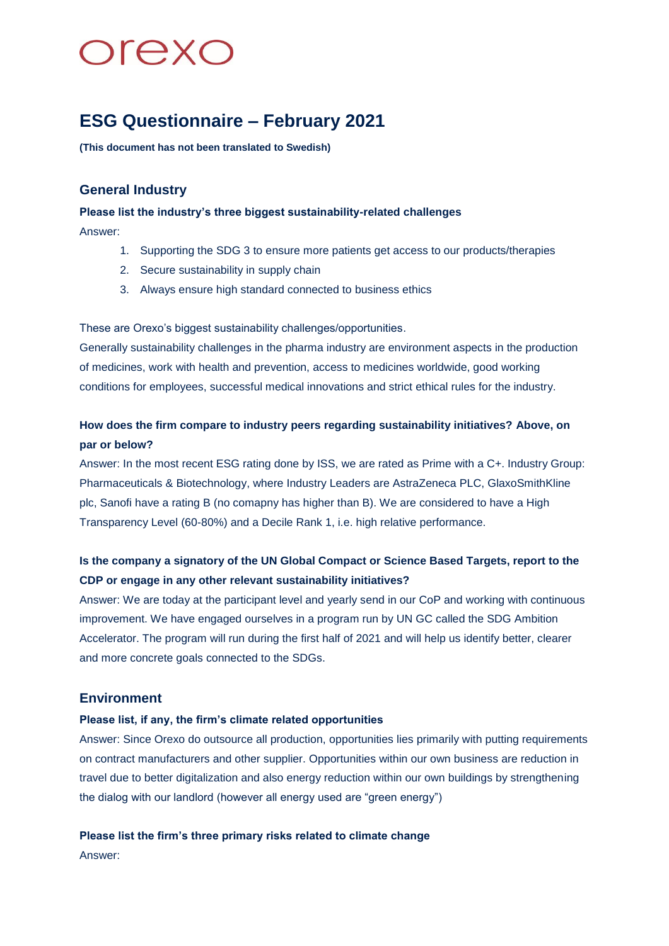# **Drexc**

### **ESG Questionnaire – February 2021**

**(This document has not been translated to Swedish)**

### **General Industry**

**Please list the industry's three biggest sustainability-related challenges** Answer:

- 1. Supporting the SDG 3 to ensure more patients get access to our products/therapies
- 2. Secure sustainability in supply chain
- 3. Always ensure high standard connected to business ethics

These are Orexo's biggest sustainability challenges/opportunities.

Generally sustainability challenges in the pharma industry are environment aspects in the production of medicines, work with health and prevention, access to medicines worldwide, good working conditions for employees, successful medical innovations and strict ethical rules for the industry.

### **How does the firm compare to industry peers regarding sustainability initiatives? Above, on par or below?**

Answer: In the most recent ESG rating done by ISS, we are rated as Prime with a C+. Industry Group: Pharmaceuticals & Biotechnology, where Industry Leaders are AstraZeneca PLC, GlaxoSmithKline plc, Sanofi have a rating B (no comapny has higher than B). We are considered to have a High Transparency Level (60-80%) and a Decile Rank 1, i.e. high relative performance.

### **Is the company a signatory of the UN Global Compact or Science Based Targets, report to the CDP or engage in any other relevant sustainability initiatives?**

Answer: We are today at the participant level and yearly send in our CoP and working with continuous improvement. We have engaged ourselves in a program run by UN GC called the SDG Ambition Accelerator. The program will run during the first half of 2021 and will help us identify better, clearer and more concrete goals connected to the SDGs.

### **Environment**

### **Please list, if any, the firm's climate related opportunities**

Answer: Since Orexo do outsource all production, opportunities lies primarily with putting requirements on contract manufacturers and other supplier. Opportunities within our own business are reduction in travel due to better digitalization and also energy reduction within our own buildings by strengthening the dialog with our landlord (however all energy used are "green energy")

### **Please list the firm's three primary risks related to climate change**

Answer: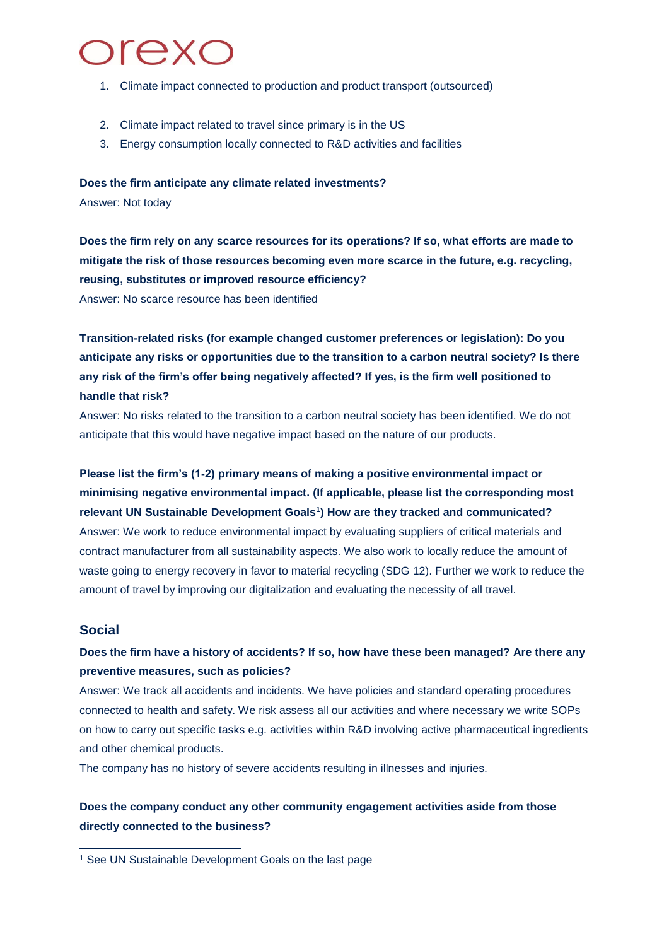## **Drexc**

- 1. Climate impact connected to production and product transport (outsourced)
- 2. Climate impact related to travel since primary is in the US
- 3. Energy consumption locally connected to R&D activities and facilities

**Does the firm anticipate any climate related investments?**

Answer: Not today

**Does the firm rely on any scarce resources for its operations? If so, what efforts are made to mitigate the risk of those resources becoming even more scarce in the future, e.g. recycling, reusing, substitutes or improved resource efficiency?**  Answer: No scarce resource has been identified

**Transition-related risks (for example changed customer preferences or legislation): Do you anticipate any risks or opportunities due to the transition to a carbon neutral society? Is there any risk of the firm's offer being negatively affected? If yes, is the firm well positioned to handle that risk?** 

Answer: No risks related to the transition to a carbon neutral society has been identified. We do not anticipate that this would have negative impact based on the nature of our products.

### **Please list the firm's (1-2) primary means of making a positive environmental impact or minimising negative environmental impact. (If applicable, please list the corresponding most relevant UN Sustainable Development Goals<sup>1</sup> ) How are they tracked and communicated?** Answer: We work to reduce environmental impact by evaluating suppliers of critical materials and contract manufacturer from all sustainability aspects. We also work to locally reduce the amount of

waste going to energy recovery in favor to material recycling (SDG 12). Further we work to reduce the amount of travel by improving our digitalization and evaluating the necessity of all travel.

### **Social**

-

### **Does the firm have a history of accidents? If so, how have these been managed? Are there any preventive measures, such as policies?**

Answer: We track all accidents and incidents. We have policies and standard operating procedures connected to health and safety. We risk assess all our activities and where necessary we write SOPs on how to carry out specific tasks e.g. activities within R&D involving active pharmaceutical ingredients and other chemical products.

The company has no history of severe accidents resulting in illnesses and injuries.

### **Does the company conduct any other community engagement activities aside from those directly connected to the business?**

<sup>&</sup>lt;sup>1</sup> See UN Sustainable Development Goals on the last page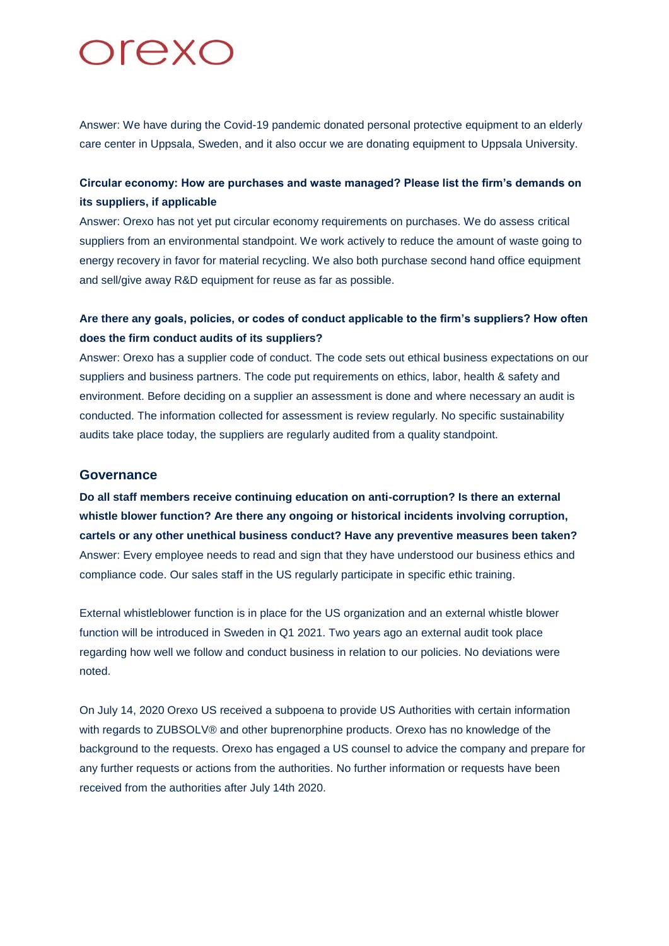# **Drexc**

Answer: We have during the Covid-19 pandemic donated personal protective equipment to an elderly care center in Uppsala, Sweden, and it also occur we are donating equipment to Uppsala University.

### **Circular economy: How are purchases and waste managed? Please list the firm's demands on its suppliers, if applicable**

Answer: Orexo has not yet put circular economy requirements on purchases. We do assess critical suppliers from an environmental standpoint. We work actively to reduce the amount of waste going to energy recovery in favor for material recycling. We also both purchase second hand office equipment and sell/give away R&D equipment for reuse as far as possible.

### **Are there any goals, policies, or codes of conduct applicable to the firm's suppliers? How often does the firm conduct audits of its suppliers?**

Answer: Orexo has a supplier code of conduct. The code sets out ethical business expectations on our suppliers and business partners. The code put requirements on ethics, labor, health & safety and environment. Before deciding on a supplier an assessment is done and where necessary an audit is conducted. The information collected for assessment is review regularly. No specific sustainability audits take place today, the suppliers are regularly audited from a quality standpoint.

#### **Governance**

**Do all staff members receive continuing education on anti-corruption? Is there an external whistle blower function? Are there any ongoing or historical incidents involving corruption, cartels or any other unethical business conduct? Have any preventive measures been taken?** Answer: Every employee needs to read and sign that they have understood our business ethics and compliance code. Our sales staff in the US regularly participate in specific ethic training.

External whistleblower function is in place for the US organization and an external whistle blower function will be introduced in Sweden in Q1 2021. Two years ago an external audit took place regarding how well we follow and conduct business in relation to our policies. No deviations were noted.

On July 14, 2020 Orexo US received a subpoena to provide US Authorities with certain information with regards to ZUBSOLV® and other buprenorphine products. Orexo has no knowledge of the background to the requests. Orexo has engaged a US counsel to advice the company and prepare for any further requests or actions from the authorities. No further information or requests have been received from the authorities after July 14th 2020.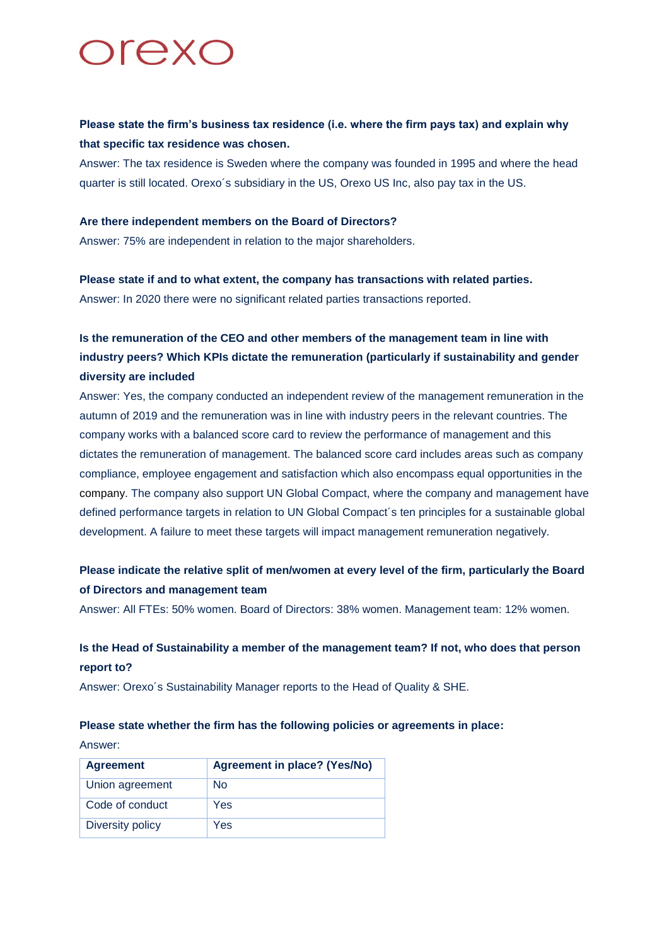

### **Please state the firm's business tax residence (i.e. where the firm pays tax) and explain why that specific tax residence was chosen.**

Answer: The tax residence is Sweden where the company was founded in 1995 and where the head quarter is still located. Orexo´s subsidiary in the US, Orexo US Inc, also pay tax in the US.

#### **Are there independent members on the Board of Directors?**

Answer: 75% are independent in relation to the major shareholders.

### **Please state if and to what extent, the company has transactions with related parties.**

Answer: In 2020 there were no significant related parties transactions reported.

### **Is the remuneration of the CEO and other members of the management team in line with industry peers? Which KPIs dictate the remuneration (particularly if sustainability and gender diversity are included**

Answer: Yes, the company conducted an independent review of the management remuneration in the autumn of 2019 and the remuneration was in line with industry peers in the relevant countries. The company works with a balanced score card to review the performance of management and this dictates the remuneration of management. The balanced score card includes areas such as company compliance, employee engagement and satisfaction which also encompass equal opportunities in the company. The company also support UN Global Compact, where the company and management have defined performance targets in relation to UN Global Compact´s ten principles for a sustainable global development. A failure to meet these targets will impact management remuneration negatively.

### **Please indicate the relative split of men/women at every level of the firm, particularly the Board of Directors and management team**

Answer: All FTEs: 50% women. Board of Directors: 38% women. Management team: 12% women.

### **Is the Head of Sustainability a member of the management team? If not, who does that person report to?**

Answer: Orexo´s Sustainability Manager reports to the Head of Quality & SHE.

### **Please state whether the firm has the following policies or agreements in place:**

Answer:

| <b>Agreement</b> | <b>Agreement in place? (Yes/No)</b> |
|------------------|-------------------------------------|
| Union agreement  | No                                  |
| Code of conduct  | Yes                                 |
| Diversity policy | Yes                                 |